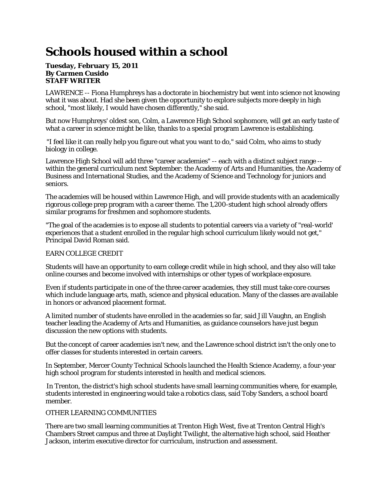# **Schools housed within a school**

#### **Tuesday, February 15, 2011 By Carmen Cusido STAFF WRITER**

LAWRENCE -- Fiona Humphreys has a doctorate in biochemistry but went into science not knowing what it was about. Had she been given the opportunity to explore subjects more deeply in high school, "most likely, I would have chosen differently," she said.

But now Humphreys' oldest son, Colm, a Lawrence High School sophomore, will get an early taste of what a career in science might be like, thanks to a special program Lawrence is establishing.

"I feel like it can really help you figure out what you want to do," said Colm, who aims to study biology in college.

Lawrence High School will add three "career academies" -- each with a distinct subject range - within the general curriculum next September: the Academy of Arts and Humanities, the Academy of Business and International Studies, and the Academy of Science and Technology for juniors and seniors.

The academies will be housed within Lawrence High, and will provide students with an academically rigorous college prep program with a career theme. The 1,200-student high school already offers similar programs for freshmen and sophomore students.

"The goal of the academies is to expose all students to potential careers via a variety of "real-world' experiences that a student enrolled in the regular high school curriculum likely would not get," Principal David Roman said.

## EARN COLLEGE CREDIT

Students will have an opportunity to earn college credit while in high school, and they also will take online courses and become involved with internships or other types of workplace exposure.

Even if students participate in one of the three career academies, they still must take core courses which include language arts, math, science and physical education. Many of the classes are available in honors or advanced placement format.

A limited number of students have enrolled in the academies so far, said Jill Vaughn, an English teacher leading the Academy of Arts and Humanities, as guidance counselors have just begun discussion the new options with students.

But the concept of career academies isn't new, and the Lawrence school district isn't the only one to offer classes for students interested in certain careers.

In September, Mercer County Technical Schools launched the Health Science Academy, a four-year high school program for students interested in health and medical sciences.

In Trenton, the district's high school students have small learning communities where, for example, students interested in engineering would take a robotics class, said Toby Sanders, a school board member.

## OTHER LEARNING COMMUNITIES

There are two small learning communities at Trenton High West, five at Trenton Central High's Chambers Street campus and three at Daylight Twilight, the alternative high school, said Heather Jackson, interim executive director for curriculum, instruction and assessment.